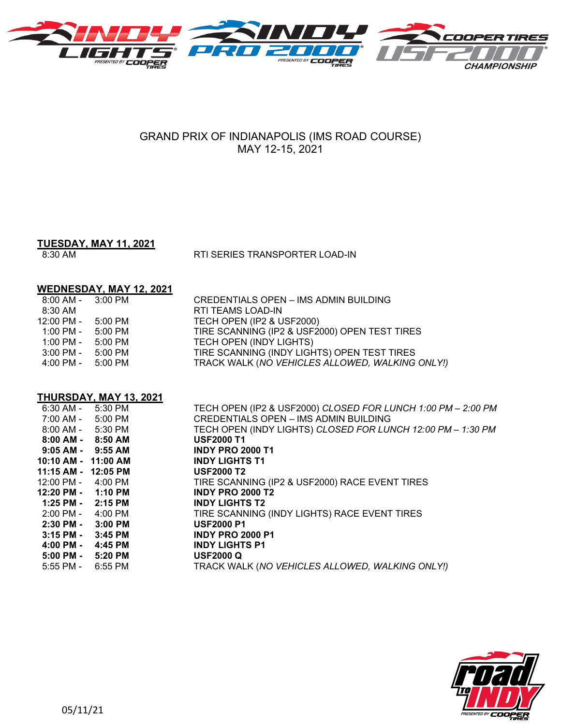

# GRAND PRIX OF INDIANAPOLIS (IMS ROAD COURSE) MAY 12-15, 2021

## **TUESDAY, MAY 11, 2021**

8:30 AM RTI SERIES TRANSPORTER LOAD-IN

## **WEDNESDAY, MAY 12, 2021**

| $8:00$ AM - $3:00$ PM                |         | <b>CREDENTIALS OPEN - IMS ADMIN BUILDING</b>    |
|--------------------------------------|---------|-------------------------------------------------|
| 8:30 AM                              |         | RTI TEAMS LOAD-IN                               |
| $12:00 \text{ PM} - 5:00 \text{ PM}$ |         | TECH OPEN (IP2 & USF2000)                       |
| 1:00 PM -                            | 5:00 PM | TIRE SCANNING (IP2 & USF2000) OPEN TEST TIRES   |
| 1:00 PM -                            | 5:00 PM | TECH OPEN (INDY LIGHTS)                         |
| 3:00 PM -                            | 5:00 PM | TIRE SCANNING (INDY LIGHTS) OPEN TEST TIRES     |
| 4:00 PM -                            | 5:00 PM | TRACK WALK (NO VEHICLES ALLOWED, WALKING ONLY!) |

## **THURSDAY, MAY 13, 2021**

| $6:30$ AM -                          | 5:30 PM   | TECH OPEN (IP2 & USF2000) CLOSED FOR LUNCH 1:00 PM - 2:00 PM |
|--------------------------------------|-----------|--------------------------------------------------------------|
| 7:00 AM -                            | 5:00 PM   | CREDENTIALS OPEN - IMS ADMIN BUILDING                        |
| 8:00 AM -                            | 5:30 PM   | TECH OPEN (INDY LIGHTS) CLOSED FOR LUNCH 12:00 PM - 1:30 PM  |
| 8:00 AM -                            | 8:50 AM   | <b>USF2000 T1</b>                                            |
| $9:05$ AM - $9:55$ AM                |           | <b>INDY PRO 2000 T1</b>                                      |
| 10:10 AM - 11:00 AM                  |           | <b>INDY LIGHTS T1</b>                                        |
| 11:15 AM - 12:05 PM                  |           | <b>USF2000 T2</b>                                            |
| $12:00 \text{ PM} - 4:00 \text{ PM}$ |           | TIRE SCANNING (IP2 & USF2000) RACE EVENT TIRES               |
| $12:20 \text{ PM} - 1:10 \text{ PM}$ |           | <b>INDY PRO 2000 T2</b>                                      |
| $1:25$ PM - $2:15$ PM                |           | <b>INDY LIGHTS T2</b>                                        |
| 2:00 PM -                            | 4:00 PM   | TIRE SCANNING (INDY LIGHTS) RACE EVENT TIRES                 |
| $2:30$ PM - $3:00$ PM                |           | <b>USF2000 P1</b>                                            |
| $3:15$ PM -                          | $3:45$ PM | <b>INDY PRO 2000 P1</b>                                      |
| 4:00 PM -                            | 4:45 PM   | <b>INDY LIGHTS P1</b>                                        |
| $5:00$ PM $-$                        | 5:20 PM   | <b>USF2000 Q</b>                                             |
| $5:55$ PM -                          | 6:55 PM   | TRACK WALK (NO VEHICLES ALLOWED, WALKING ONLY!)              |
|                                      |           |                                                              |